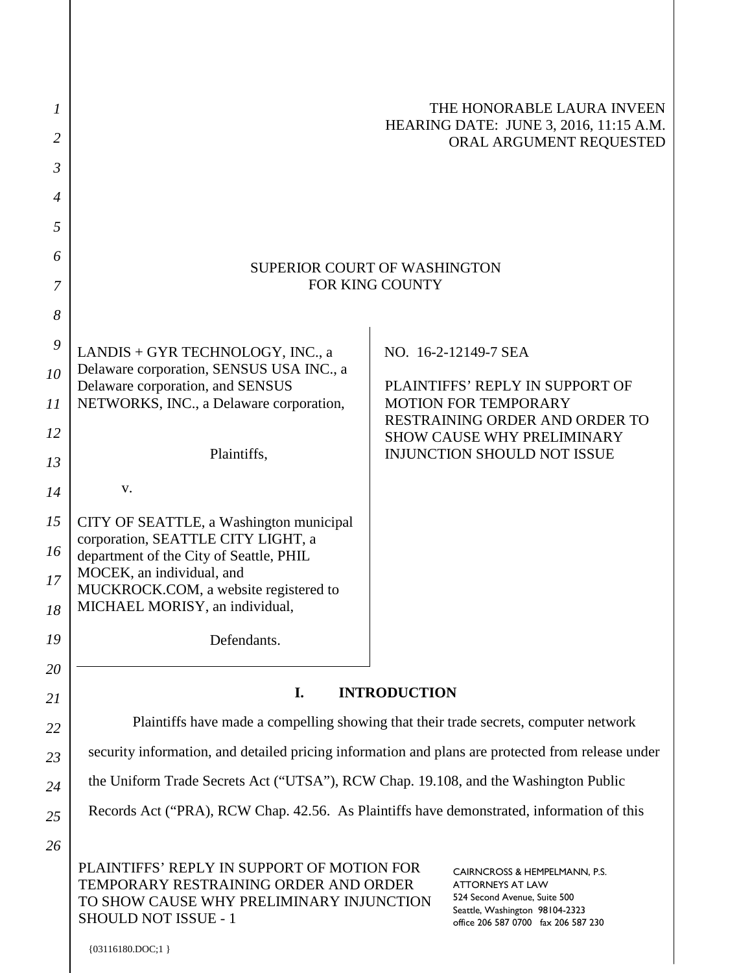| 1              |                                                                                                                                                         |                                 | THE HONORABLE LAURA INVEEN                                                                                                                                        |
|----------------|---------------------------------------------------------------------------------------------------------------------------------------------------------|---------------------------------|-------------------------------------------------------------------------------------------------------------------------------------------------------------------|
| 2              |                                                                                                                                                         |                                 | HEARING DATE: JUNE 3, 2016, 11:15 A.M.<br>ORAL ARGUMENT REQUESTED                                                                                                 |
| $\mathfrak{Z}$ |                                                                                                                                                         |                                 |                                                                                                                                                                   |
| $\overline{4}$ |                                                                                                                                                         |                                 |                                                                                                                                                                   |
| 5              |                                                                                                                                                         |                                 |                                                                                                                                                                   |
| 6              | <b>SUPERIOR COURT OF WASHINGTON</b><br>FOR KING COUNTY                                                                                                  |                                 |                                                                                                                                                                   |
| 7              |                                                                                                                                                         |                                 |                                                                                                                                                                   |
| 8              |                                                                                                                                                         |                                 |                                                                                                                                                                   |
| 9              | LANDIS + GYR TECHNOLOGY, INC., a<br>Delaware corporation, SENSUS USA INC., a                                                                            |                                 | NO. 16-2-12149-7 SEA                                                                                                                                              |
| 10             | Delaware corporation, and SENSUS                                                                                                                        | PLAINTIFFS' REPLY IN SUPPORT OF |                                                                                                                                                                   |
| 11             | NETWORKS, INC., a Delaware corporation,                                                                                                                 |                                 | <b>MOTION FOR TEMPORARY</b><br>RESTRAINING ORDER AND ORDER TO                                                                                                     |
| 12<br>13       | Plaintiffs,                                                                                                                                             |                                 | <b>SHOW CAUSE WHY PRELIMINARY</b><br><b>INJUNCTION SHOULD NOT ISSUE</b>                                                                                           |
| 14             | V.                                                                                                                                                      |                                 |                                                                                                                                                                   |
| 15             | CITY OF SEATTLE, a Washington municipal                                                                                                                 |                                 |                                                                                                                                                                   |
| 16             | corporation, SEATTLE CITY LIGHT, a<br>department of the City of Seattle, PHIL                                                                           |                                 |                                                                                                                                                                   |
| 17             | MOCEK, an individual, and                                                                                                                               |                                 |                                                                                                                                                                   |
| 18             | MUCKROCK.COM, a website registered to<br>MICHAEL MORISY, an individual,                                                                                 |                                 |                                                                                                                                                                   |
| 19             | Defendants.                                                                                                                                             |                                 |                                                                                                                                                                   |
| 20             |                                                                                                                                                         |                                 |                                                                                                                                                                   |
| 21             | <b>INTRODUCTION</b><br>I.                                                                                                                               |                                 |                                                                                                                                                                   |
| 22             | Plaintiffs have made a compelling showing that their trade secrets, computer network                                                                    |                                 |                                                                                                                                                                   |
| 23             | security information, and detailed pricing information and plans are protected from release under                                                       |                                 |                                                                                                                                                                   |
| 24             | the Uniform Trade Secrets Act ("UTSA"), RCW Chap. 19.108, and the Washington Public                                                                     |                                 |                                                                                                                                                                   |
| 25             | Records Act ("PRA), RCW Chap. 42.56. As Plaintiffs have demonstrated, information of this                                                               |                                 |                                                                                                                                                                   |
| 26             |                                                                                                                                                         |                                 |                                                                                                                                                                   |
|                | PLAINTIFFS' REPLY IN SUPPORT OF MOTION FOR<br>TEMPORARY RESTRAINING ORDER AND ORDER<br>TO SHOW CAUSE WHY PRELIMINARY INJUNCTION<br>SHOULD NOT ISSUE - 1 |                                 | CAIRNCROSS & HEMPELMANN, P.S.<br><b>ATTORNEYS AT LAW</b><br>524 Second Avenue, Suite 500<br>Seattle, Washington 98104-2323<br>office 206 587 0700 fax 206 587 230 |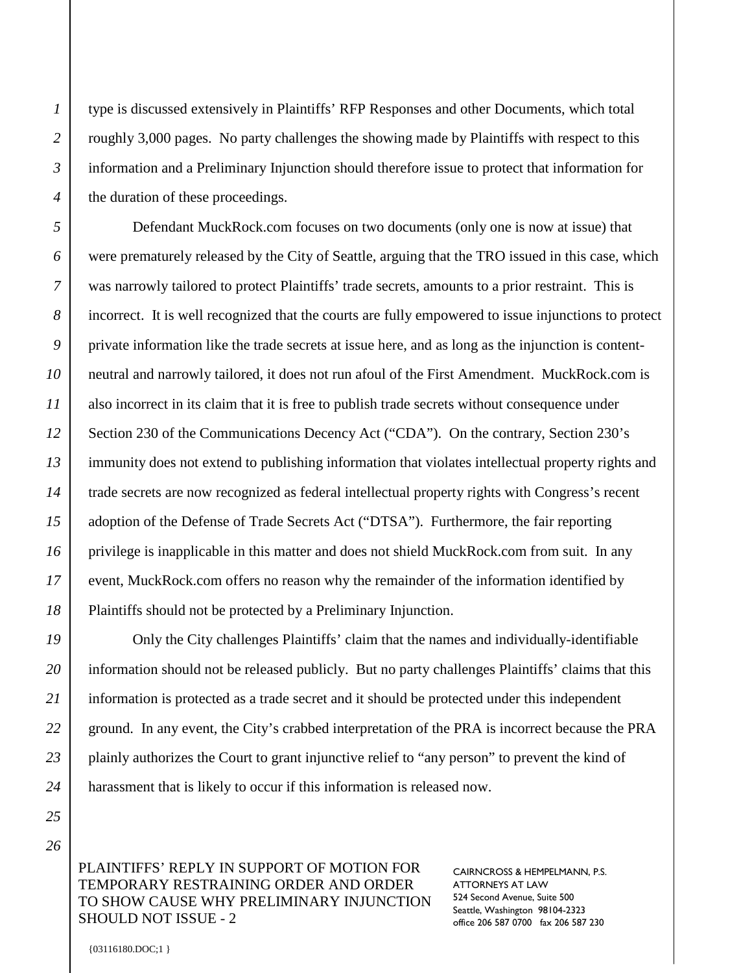type is discussed extensively in Plaintiffs' RFP Responses and other Documents, which total roughly 3,000 pages. No party challenges the showing made by Plaintiffs with respect to this information and a Preliminary Injunction should therefore issue to protect that information for the duration of these proceedings.

Defendant MuckRock.com focuses on two documents (only one is now at issue) that were prematurely released by the City of Seattle, arguing that the TRO issued in this case, which was narrowly tailored to protect Plaintiffs' trade secrets, amounts to a prior restraint. This is incorrect. It is well recognized that the courts are fully empowered to issue injunctions to protect private information like the trade secrets at issue here, and as long as the injunction is contentneutral and narrowly tailored, it does not run afoul of the First Amendment. MuckRock.com is also incorrect in its claim that it is free to publish trade secrets without consequence under Section 230 of the Communications Decency Act ("CDA"). On the contrary, Section 230's immunity does not extend to publishing information that violates intellectual property rights and trade secrets are now recognized as federal intellectual property rights with Congress's recent adoption of the Defense of Trade Secrets Act ("DTSA"). Furthermore, the fair reporting privilege is inapplicable in this matter and does not shield MuckRock.com from suit. In any event, MuckRock.com offers no reason why the remainder of the information identified by Plaintiffs should not be protected by a Preliminary Injunction.

Only the City challenges Plaintiffs' claim that the names and individually-identifiable information should not be released publicly. But no party challenges Plaintiffs' claims that this information is protected as a trade secret and it should be protected under this independent ground. In any event, the City's crabbed interpretation of the PRA is incorrect because the PRA plainly authorizes the Court to grant injunctive relief to "any person" to prevent the kind of harassment that is likely to occur if this information is released now.

PLAINTIFFS' REPLY IN SUPPORT OF MOTION FOR TEMPORARY RESTRAINING ORDER AND ORDER TO SHOW CAUSE WHY PRELIMINARY INJUNCTION SHOULD NOT ISSUE - 2

CAIRNCROSS & HEMPELMANN, P.S. ATTORNEYS AT LAW 524 Second Avenue, Suite 500 Seattle, Washington 98104-2323 office 206 587 0700 fax 206 587 230

{03116180.DOC;1 }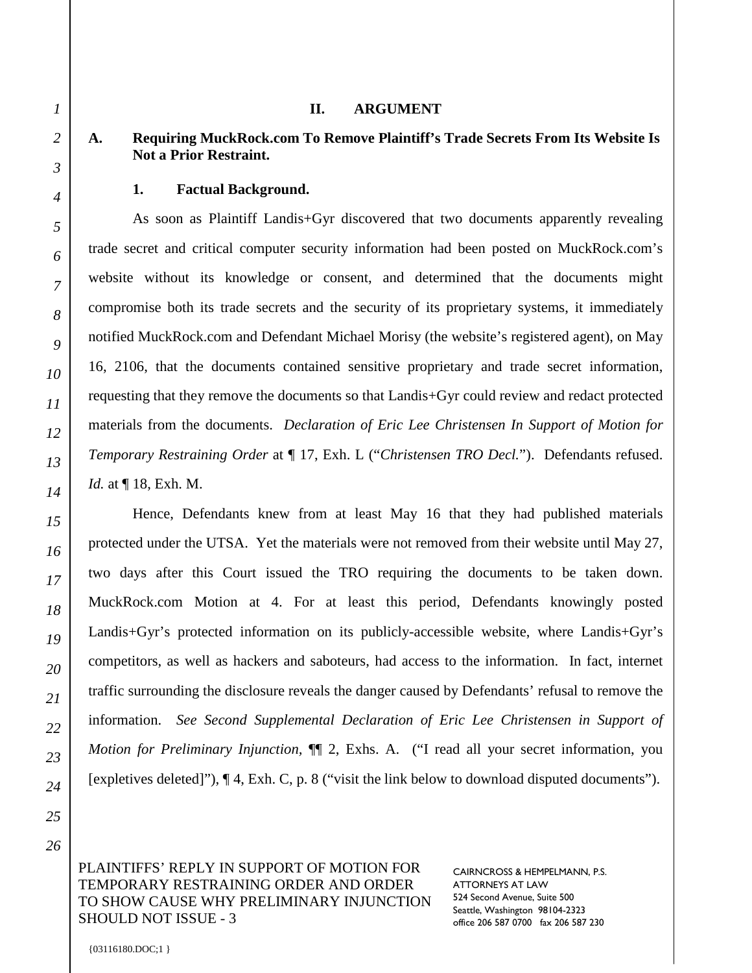#### **II. ARGUMENT**

## **A. Requiring MuckRock.com To Remove Plaintiff's Trade Secrets From Its Website Is Not a Prior Restraint.**

#### **1. Factual Background.**

As soon as Plaintiff Landis+Gyr discovered that two documents apparently revealing trade secret and critical computer security information had been posted on MuckRock.com's website without its knowledge or consent, and determined that the documents might compromise both its trade secrets and the security of its proprietary systems, it immediately notified MuckRock.com and Defendant Michael Morisy (the website's registered agent), on May 16, 2106, that the documents contained sensitive proprietary and trade secret information, requesting that they remove the documents so that Landis+Gyr could review and redact protected materials from the documents. *Declaration of Eric Lee Christensen In Support of Motion for Temporary Restraining Order* at ¶ 17, Exh. L ("*Christensen TRO Decl.*"). Defendants refused. *Id.* at ¶ 18, Exh. M.

Hence, Defendants knew from at least May 16 that they had published materials protected under the UTSA. Yet the materials were not removed from their website until May 27, two days after this Court issued the TRO requiring the documents to be taken down. MuckRock.com Motion at 4. For at least this period, Defendants knowingly posted Landis+Gyr's protected information on its publicly-accessible website, where Landis+Gyr's competitors, as well as hackers and saboteurs, had access to the information. In fact, internet traffic surrounding the disclosure reveals the danger caused by Defendants' refusal to remove the information. *See Second Supplemental Declaration of Eric Lee Christensen in Support of Motion for Preliminary Injunction,*  $\P$  2, Exhs. A. ("I read all your secret information, you [expletives deleted]"), ¶ 4, Exh. C, p. 8 ("visit the link below to download disputed documents").

PLAINTIFFS' REPLY IN SUPPORT OF MOTION FOR TEMPORARY RESTRAINING ORDER AND ORDER TO SHOW CAUSE WHY PRELIMINARY INJUNCTION SHOULD NOT ISSUE - 3

CAIRNCROSS & HEMPELMANN, P.S. ATTORNEYS AT LAW 524 Second Avenue, Suite 500 Seattle, Washington 98104-2323 office 206 587 0700 fax 206 587 230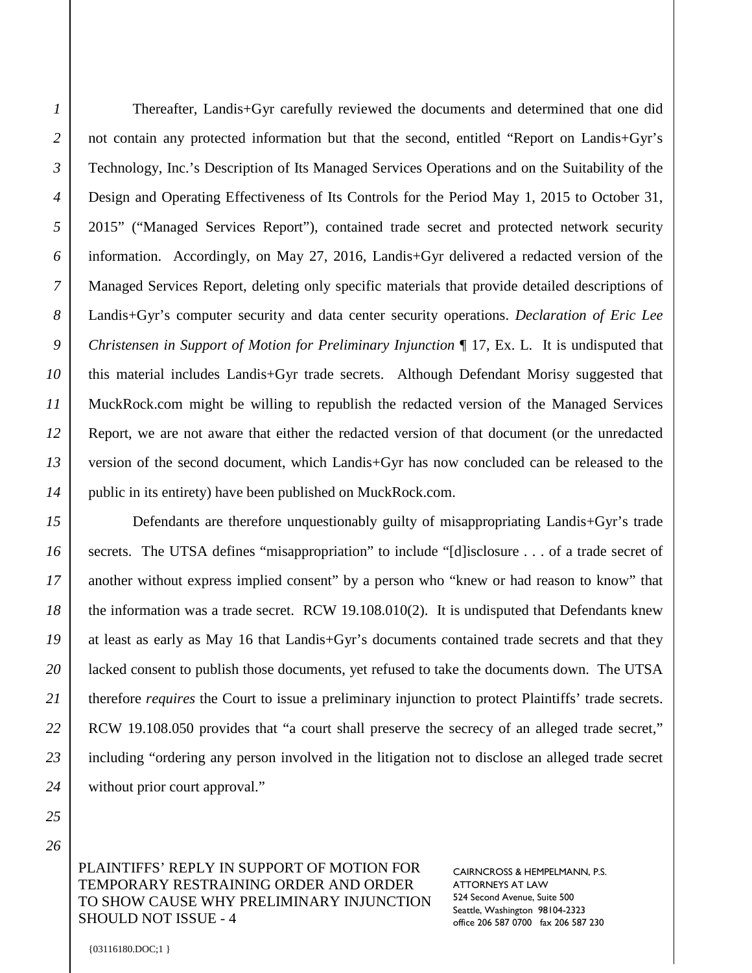Thereafter, Landis+Gyr carefully reviewed the documents and determined that one did not contain any protected information but that the second, entitled "Report on Landis+Gyr's Technology, Inc.'s Description of Its Managed Services Operations and on the Suitability of the Design and Operating Effectiveness of Its Controls for the Period May 1, 2015 to October 31, 2015" ("Managed Services Report"), contained trade secret and protected network security information. Accordingly, on May 27, 2016, Landis+Gyr delivered a redacted version of the Managed Services Report, deleting only specific materials that provide detailed descriptions of Landis+Gyr's computer security and data center security operations. *Declaration of Eric Lee Christensen in Support of Motion for Preliminary Injunction* ¶ 17, Ex. L. It is undisputed that this material includes Landis+Gyr trade secrets. Although Defendant Morisy suggested that MuckRock.com might be willing to republish the redacted version of the Managed Services Report, we are not aware that either the redacted version of that document (or the unredacted version of the second document, which Landis+Gyr has now concluded can be released to the public in its entirety) have been published on MuckRock.com.

Defendants are therefore unquestionably guilty of misappropriating Landis+Gyr's trade secrets. The UTSA defines "misappropriation" to include "[d]isclosure . . . of a trade secret of another without express implied consent" by a person who "knew or had reason to know" that the information was a trade secret. RCW 19.108.010(2). It is undisputed that Defendants knew at least as early as May 16 that Landis+Gyr's documents contained trade secrets and that they lacked consent to publish those documents, yet refused to take the documents down. The UTSA therefore *requires* the Court to issue a preliminary injunction to protect Plaintiffs' trade secrets. RCW 19.108.050 provides that "a court shall preserve the secrecy of an alleged trade secret," including "ordering any person involved in the litigation not to disclose an alleged trade secret without prior court approval."

PLAINTIFFS' REPLY IN SUPPORT OF MOTION FOR TEMPORARY RESTRAINING ORDER AND ORDER TO SHOW CAUSE WHY PRELIMINARY INJUNCTION SHOULD NOT ISSUE - 4

CAIRNCROSS & HEMPELMANN, P.S. ATTORNEYS AT LAW 524 Second Avenue, Suite 500 Seattle, Washington 98104-2323 office 206 587 0700 fax 206 587 230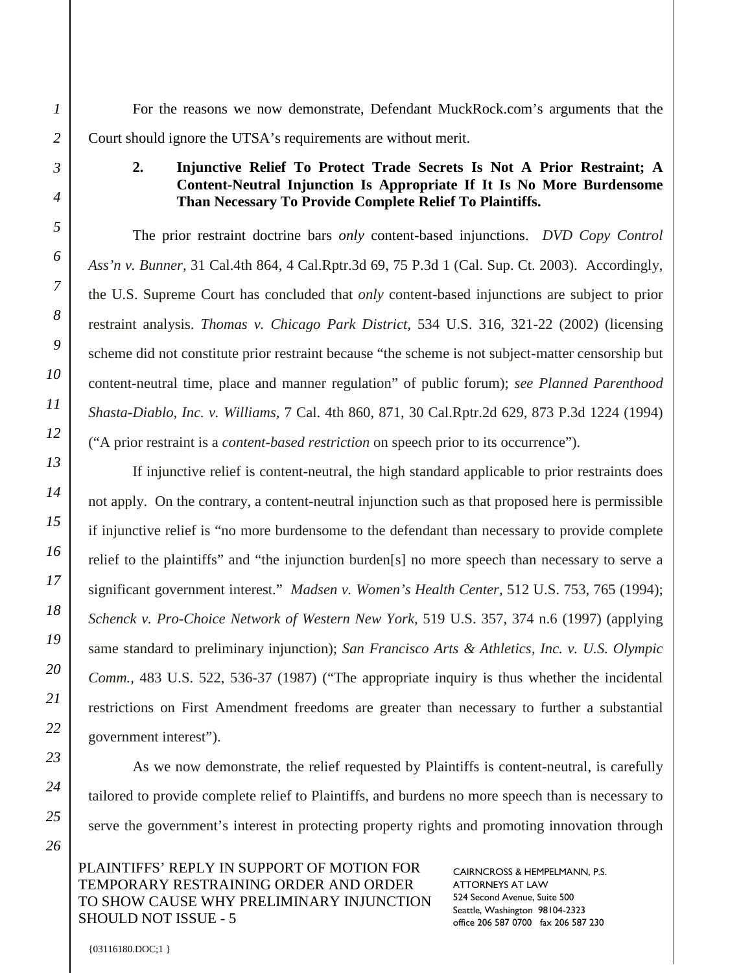For the reasons we now demonstrate, Defendant MuckRock.com's arguments that the Court should ignore the UTSA's requirements are without merit.

## **2. Injunctive Relief To Protect Trade Secrets Is Not A Prior Restraint; A Content-Neutral Injunction Is Appropriate If It Is No More Burdensome Than Necessary To Provide Complete Relief To Plaintiffs.**

The prior restraint doctrine bars *only* content-based injunctions. *DVD Copy Control Ass'n v. Bunner,* 31 Cal.4th 864, 4 Cal.Rptr.3d 69, 75 P.3d 1 (Cal. Sup. Ct. 2003). Accordingly, the U.S. Supreme Court has concluded that *only* content-based injunctions are subject to prior restraint analysis. *Thomas v. Chicago Park District,* 534 U.S. 316, 321-22 (2002) (licensing scheme did not constitute prior restraint because "the scheme is not subject-matter censorship but content-neutral time, place and manner regulation" of public forum); *see Planned Parenthood Shasta-Diablo, Inc. v. Williams,* 7 Cal. 4th 860, 871, 30 Cal.Rptr.2d 629, 873 P.3d 1224 (1994) ("A prior restraint is a *content-based restriction* on speech prior to its occurrence").

If injunctive relief is content-neutral, the high standard applicable to prior restraints does not apply. On the contrary, a content-neutral injunction such as that proposed here is permissible if injunctive relief is "no more burdensome to the defendant than necessary to provide complete relief to the plaintiffs" and "the injunction burden[s] no more speech than necessary to serve a significant government interest." *Madsen v. Women's Health Center,* 512 U.S. 753, 765 (1994); *Schenck v. Pro-Choice Network of Western New York,* 519 U.S. 357, 374 n.6 (1997) (applying same standard to preliminary injunction); *San Francisco Arts & Athletics, Inc. v. U.S. Olympic Comm.,* 483 U.S. 522, 536-37 (1987) ("The appropriate inquiry is thus whether the incidental restrictions on First Amendment freedoms are greater than necessary to further a substantial government interest").

As we now demonstrate, the relief requested by Plaintiffs is content-neutral, is carefully tailored to provide complete relief to Plaintiffs, and burdens no more speech than is necessary to serve the government's interest in protecting property rights and promoting innovation through

PLAINTIFFS' REPLY IN SUPPORT OF MOTION FOR TEMPORARY RESTRAINING ORDER AND ORDER TO SHOW CAUSE WHY PRELIMINARY INJUNCTION SHOULD NOT ISSUE - 5

CAIRNCROSS & HEMPELMANN, P.S. ATTORNEYS AT LAW 524 Second Avenue, Suite 500 Seattle, Washington 98104-2323 office 206 587 0700 fax 206 587 230

*1*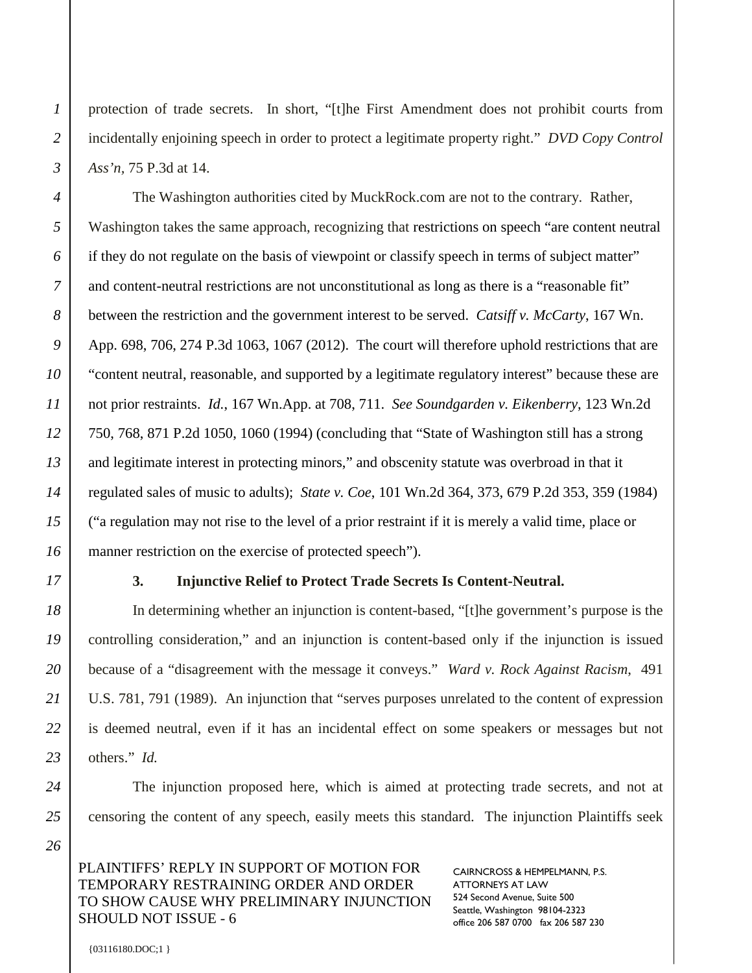protection of trade secrets. In short, "[t]he First Amendment does not prohibit courts from incidentally enjoining speech in order to protect a legitimate property right." *DVD Copy Control Ass'n,* 75 P.3d at 14.

The Washington authorities cited by MuckRock.com are not to the contrary. Rather, Washington takes the same approach, recognizing that restrictions on speech "are content neutral if they do not regulate on the basis of viewpoint or classify speech in terms of subject matter" and content-neutral restrictions are not unconstitutional as long as there is a "reasonable fit" between the restriction and the government interest to be served. *Catsiff v. McCarty*, 167 Wn. App. 698, 706, 274 P.3d 1063, 1067 (2012). The court will therefore uphold restrictions that are "content neutral, reasonable, and supported by a legitimate regulatory interest" because these are not prior restraints. *Id.*, 167 Wn.App. at 708, 711. *See Soundgarden v. Eikenberry*, 123 Wn.2d 750, 768, 871 P.2d 1050, 1060 (1994) (concluding that "State of Washington still has a strong and legitimate interest in protecting minors," and obscenity statute was overbroad in that it regulated sales of music to adults); *State v. Coe*, 101 Wn.2d 364, 373, 679 P.2d 353, 359 (1984) ("a regulation may not rise to the level of a prior restraint if it is merely a valid time, place or manner restriction on the exercise of protected speech").

#### **3. Injunctive Relief to Protect Trade Secrets Is Content-Neutral.**

In determining whether an injunction is content-based, "[t]he government's purpose is the controlling consideration," and an injunction is content-based only if the injunction is issued because of a "disagreement with the message it conveys." *Ward v. Rock Against Racism*, 491 U.S. 781, 791 (1989). An injunction that "serves purposes unrelated to the content of expression is deemed neutral, even if it has an incidental effect on some speakers or messages but not others." *Id.*

The injunction proposed here, which is aimed at protecting trade secrets, and not at censoring the content of any speech, easily meets this standard. The injunction Plaintiffs seek

PLAINTIFFS' REPLY IN SUPPORT OF MOTION FOR TEMPORARY RESTRAINING ORDER AND ORDER TO SHOW CAUSE WHY PRELIMINARY INJUNCTION SHOULD NOT ISSUE - 6

CAIRNCROSS & HEMPELMANN, P.S. ATTORNEYS AT LAW 524 Second Avenue, Suite 500 Seattle, Washington 98104-2323 office 206 587 0700 fax 206 587 230

*24 25*

*26*

*1*

*2*

*3*

*4*

*5*

*6*

*7*

*8*

*9*

*10*

*11*

*12*

*13*

*14*

*15*

*16*

*17*

*18*

*19*

*20*

*21*

*22*

*23*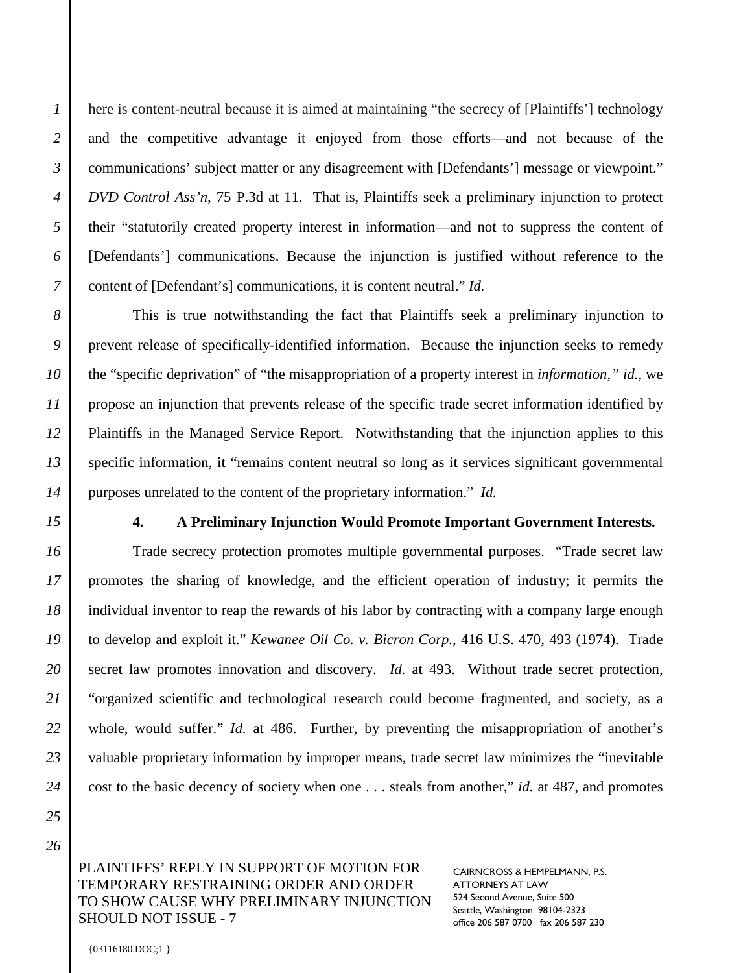*2*

*3*

here is content-neutral because it is aimed at maintaining "the secrecy of [Plaintiffs'] technology and the competitive advantage it enjoyed from those efforts—and not because of the communications' subject matter or any disagreement with [Defendants'] message or viewpoint." *DVD Control Ass'n,* 75 P.3d at 11. That is, Plaintiffs seek a preliminary injunction to protect their "statutorily created property interest in information—and not to suppress the content of [Defendants'] communications. Because the injunction is justified without reference to the content of [Defendant's] communications, it is content neutral." *Id.* 

This is true notwithstanding the fact that Plaintiffs seek a preliminary injunction to prevent release of specifically-identified information. Because the injunction seeks to remedy the "specific deprivation" of "the misappropriation of a property interest in *information," id.,* we propose an injunction that prevents release of the specific trade secret information identified by Plaintiffs in the Managed Service Report. Notwithstanding that the injunction applies to this specific information, it "remains content neutral so long as it services significant governmental purposes unrelated to the content of the proprietary information." *Id.* 

#### **4. A Preliminary Injunction Would Promote Important Government Interests.**

Trade secrecy protection promotes multiple governmental purposes. "Trade secret law promotes the sharing of knowledge, and the efficient operation of industry; it permits the individual inventor to reap the rewards of his labor by contracting with a company large enough to develop and exploit it." *Kewanee Oil Co. v. Bicron Corp.*, 416 U.S. 470, 493 (1974). Trade secret law promotes innovation and discovery. *Id.* at 493. Without trade secret protection, "organized scientific and technological research could become fragmented, and society, as a whole, would suffer." *Id.* at 486. Further, by preventing the misappropriation of another's valuable proprietary information by improper means, trade secret law minimizes the "inevitable cost to the basic decency of society when one . . . steals from another," *id.* at 487, and promotes

PLAINTIFFS' REPLY IN SUPPORT OF MOTION FOR TEMPORARY RESTRAINING ORDER AND ORDER TO SHOW CAUSE WHY PRELIMINARY INJUNCTION SHOULD NOT ISSUE - 7

CAIRNCROSS & HEMPELMANN, P.S. ATTORNEYS AT LAW 524 Second Avenue, Suite 500 Seattle, Washington 98104-2323 office 206 587 0700 fax 206 587 230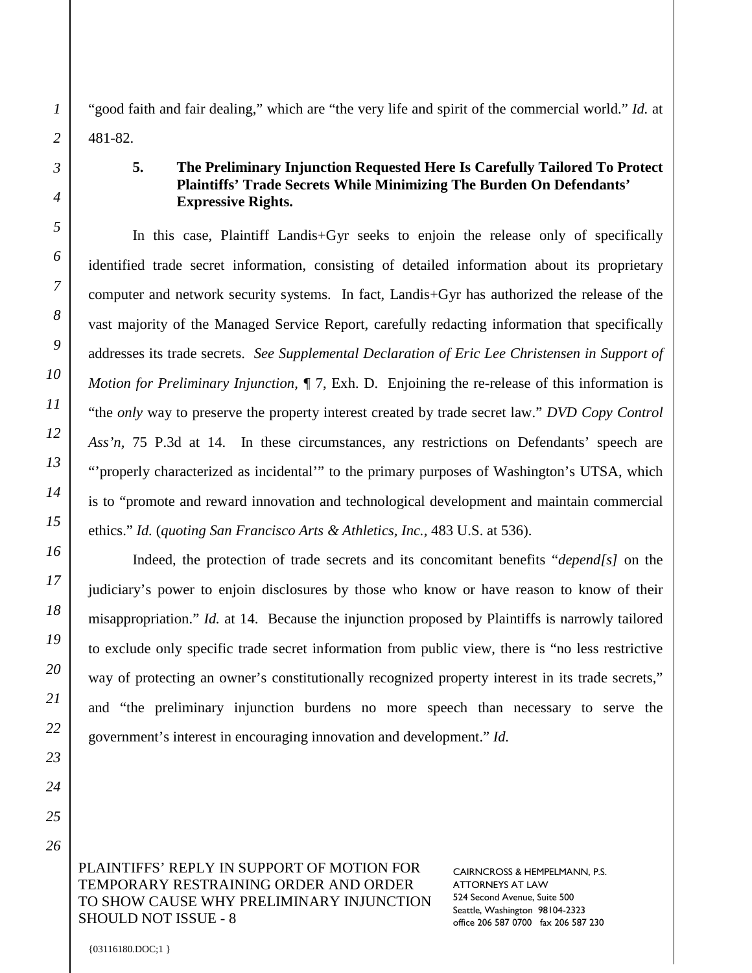"good faith and fair dealing," which are "the very life and spirit of the commercial world." *Id.* at 481-82.

## **5. The Preliminary Injunction Requested Here Is Carefully Tailored To Protect Plaintiffs' Trade Secrets While Minimizing The Burden On Defendants' Expressive Rights.**

In this case, Plaintiff Landis+Gyr seeks to enjoin the release only of specifically identified trade secret information, consisting of detailed information about its proprietary computer and network security systems. In fact, Landis+Gyr has authorized the release of the vast majority of the Managed Service Report, carefully redacting information that specifically addresses its trade secrets. *See Supplemental Declaration of Eric Lee Christensen in Support of Motion for Preliminary Injunction, ¶ 7, Exh. D. Enjoining the re-release of this information is* "the *only* way to preserve the property interest created by trade secret law." *DVD Copy Control*  Ass'n, 75 P.3d at 14. In these circumstances, any restrictions on Defendants' speech are "'properly characterized as incidental'" to the primary purposes of Washington's UTSA, which is to "promote and reward innovation and technological development and maintain commercial ethics." *Id.* (*quoting San Francisco Arts & Athletics, Inc.,* 483 U.S. at 536).

Indeed, the protection of trade secrets and its concomitant benefits "*depend[s]* on the judiciary's power to enjoin disclosures by those who know or have reason to know of their misappropriation." *Id.* at 14. Because the injunction proposed by Plaintiffs is narrowly tailored to exclude only specific trade secret information from public view, there is "no less restrictive way of protecting an owner's constitutionally recognized property interest in its trade secrets," and "the preliminary injunction burdens no more speech than necessary to serve the government's interest in encouraging innovation and development." *Id.*

PLAINTIFFS' REPLY IN SUPPORT OF MOTION FOR TEMPORARY RESTRAINING ORDER AND ORDER TO SHOW CAUSE WHY PRELIMINARY INJUNCTION SHOULD NOT ISSUE - 8

CAIRNCROSS & HEMPELMANN, P.S. ATTORNEYS AT LAW 524 Second Avenue, Suite 500 Seattle, Washington 98104-2323 office 206 587 0700 fax 206 587 230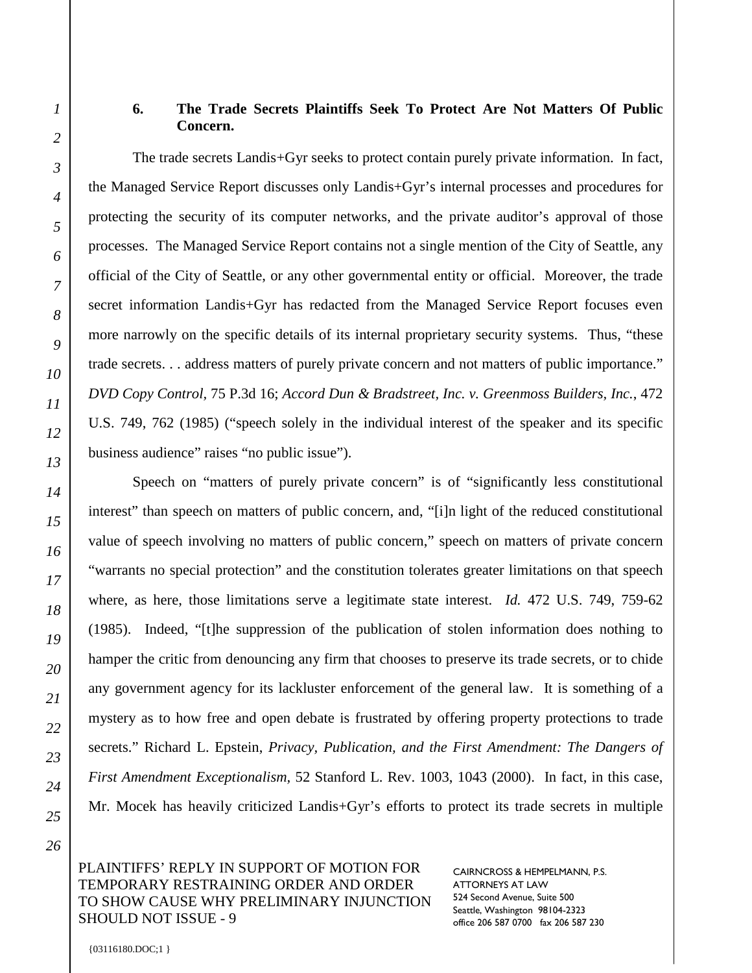## **6. The Trade Secrets Plaintiffs Seek To Protect Are Not Matters Of Public Concern.**

The trade secrets Landis+Gyr seeks to protect contain purely private information. In fact, the Managed Service Report discusses only Landis+Gyr's internal processes and procedures for protecting the security of its computer networks, and the private auditor's approval of those processes. The Managed Service Report contains not a single mention of the City of Seattle, any official of the City of Seattle, or any other governmental entity or official. Moreover, the trade secret information Landis+Gyr has redacted from the Managed Service Report focuses even more narrowly on the specific details of its internal proprietary security systems. Thus, "these trade secrets. . . address matters of purely private concern and not matters of public importance." *DVD Copy Control,* 75 P.3d 16; *Accord Dun & Bradstreet, Inc. v. Greenmoss Builders, Inc.*, 472 U.S. 749, 762 (1985) ("speech solely in the individual interest of the speaker and its specific business audience" raises "no public issue").

Speech on "matters of purely private concern" is of "significantly less constitutional interest" than speech on matters of public concern, and, "[i]n light of the reduced constitutional value of speech involving no matters of public concern," speech on matters of private concern "warrants no special protection" and the constitution tolerates greater limitations on that speech where, as here, those limitations serve a legitimate state interest. *Id.* 472 U.S. 749, 759-62 (1985). Indeed, "[t]he suppression of the publication of stolen information does nothing to hamper the critic from denouncing any firm that chooses to preserve its trade secrets, or to chide any government agency for its lackluster enforcement of the general law. It is something of a mystery as to how free and open debate is frustrated by offering property protections to trade secrets." Richard L. Epstein, *Privacy, Publication, and the First Amendment: The Dangers of First Amendment Exceptionalism,* 52 Stanford L. Rev. 1003, 1043 (2000). In fact, in this case, Mr. Mocek has heavily criticized Landis+Gyr's efforts to protect its trade secrets in multiple

#### PLAINTIFFS' REPLY IN SUPPORT OF MOTION FOR TEMPORARY RESTRAINING ORDER AND ORDER TO SHOW CAUSE WHY PRELIMINARY INJUNCTION SHOULD NOT ISSUE - 9

CAIRNCROSS & HEMPELMANN, P.S. ATTORNEYS AT LAW 524 Second Avenue, Suite 500 Seattle, Washington 98104-2323 office 206 587 0700 fax 206 587 230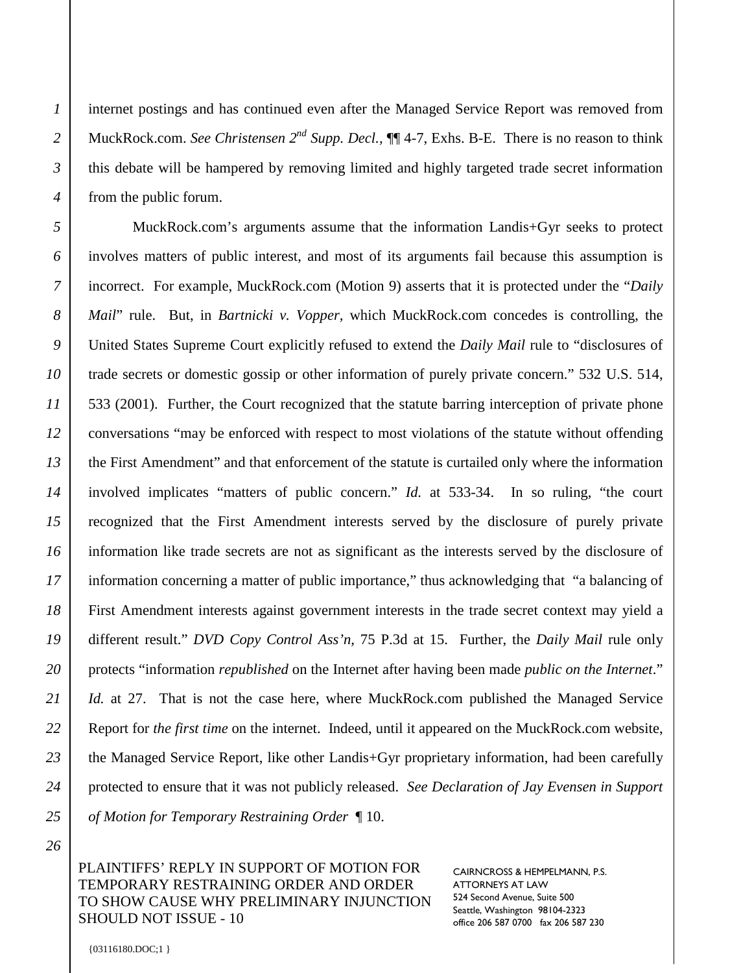*2*

*3*

*4*

internet postings and has continued even after the Managed Service Report was removed from MuckRock.com. *See Christensen*  $2^{nd}$  *Supp. Decl.*,  $\P\P$  4-7, Exhs. B-E. There is no reason to think this debate will be hampered by removing limited and highly targeted trade secret information from the public forum.

MuckRock.com's arguments assume that the information Landis+Gyr seeks to protect involves matters of public interest, and most of its arguments fail because this assumption is incorrect. For example, MuckRock.com (Motion 9) asserts that it is protected under the "*Daily Mail*" rule. But, in *Bartnicki v. Vopper,* which MuckRock.com concedes is controlling, the United States Supreme Court explicitly refused to extend the *Daily Mail* rule to "disclosures of trade secrets or domestic gossip or other information of purely private concern." 532 U.S. 514, 533 (2001). Further, the Court recognized that the statute barring interception of private phone conversations "may be enforced with respect to most violations of the statute without offending the First Amendment" and that enforcement of the statute is curtailed only where the information involved implicates "matters of public concern." *Id.* at 533-34. In so ruling, "the court recognized that the First Amendment interests served by the disclosure of purely private information like trade secrets are not as significant as the interests served by the disclosure of information concerning a matter of public importance," thus acknowledging that "a balancing of First Amendment interests against government interests in the trade secret context may yield a different result." *DVD Copy Control Ass'n,* 75 P.3d at 15. Further, the *Daily Mail* rule only protects "information *republished* on the Internet after having been made *public on the Internet*." *Id.* at 27. That is not the case here, where MuckRock.com published the Managed Service Report for *the first time* on the internet. Indeed, until it appeared on the MuckRock.com website, the Managed Service Report, like other Landis+Gyr proprietary information, had been carefully protected to ensure that it was not publicly released. *See Declaration of Jay Evensen in Support of Motion for Temporary Restraining Order* ¶ 10.

## PLAINTIFFS' REPLY IN SUPPORT OF MOTION FOR TEMPORARY RESTRAINING ORDER AND ORDER TO SHOW CAUSE WHY PRELIMINARY INJUNCTION SHOULD NOT ISSUE - 10

CAIRNCROSS & HEMPELMANN, P.S. ATTORNEYS AT LAW 524 Second Avenue, Suite 500 Seattle, Washington 98104-2323 office 206 587 0700 fax 206 587 230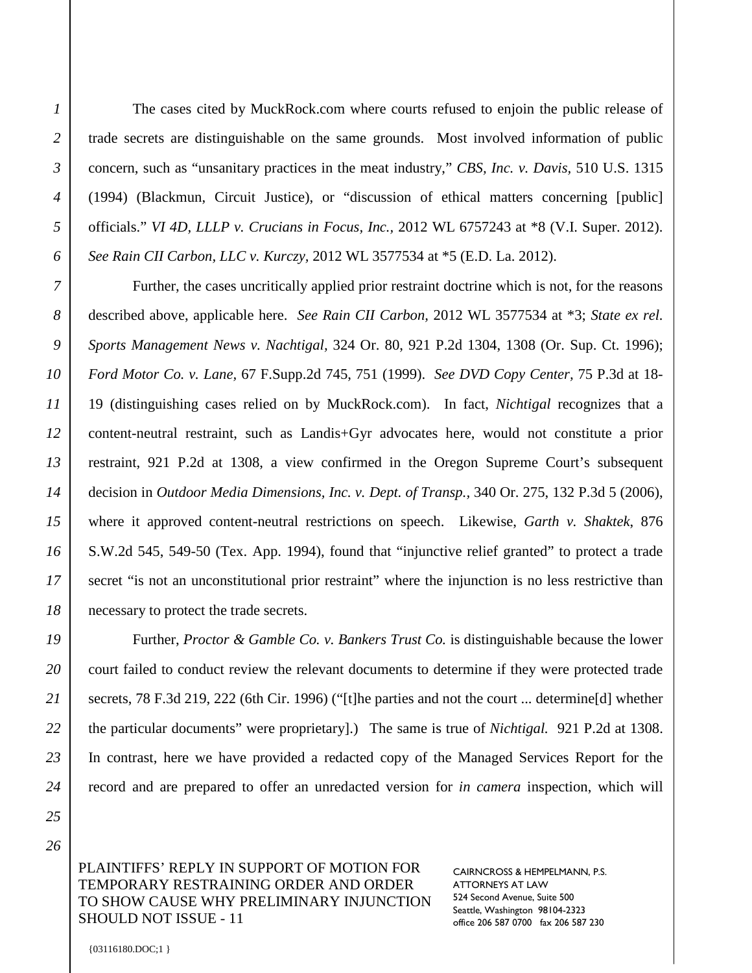The cases cited by MuckRock.com where courts refused to enjoin the public release of trade secrets are distinguishable on the same grounds. Most involved information of public concern, such as "unsanitary practices in the meat industry," *CBS, Inc. v. Davis,* 510 U.S. 1315 (1994) (Blackmun, Circuit Justice), or "discussion of ethical matters concerning [public] officials." *VI 4D, LLLP v. Crucians in Focus, Inc.,* 2012 WL 6757243 at \*8 (V.I. Super. 2012). *See Rain CII Carbon, LLC v. Kurczy,* 2012 WL 3577534 at \*5 (E.D. La. 2012).

Further, the cases uncritically applied prior restraint doctrine which is not, for the reasons described above, applicable here. *See Rain CII Carbon,* 2012 WL 3577534 at \*3; *State ex rel. Sports Management News v. Nachtigal,* 324 Or. 80, 921 P.2d 1304, 1308 (Or. Sup. Ct. 1996); *Ford Motor Co. v. Lane,* 67 F.Supp.2d 745, 751 (1999). *See DVD Copy Center,* 75 P.3d at 18- 19 (distinguishing cases relied on by MuckRock.com). In fact, *Nichtigal* recognizes that a content-neutral restraint, such as Landis+Gyr advocates here, would not constitute a prior restraint, 921 P.2d at 1308, a view confirmed in the Oregon Supreme Court's subsequent decision in *Outdoor Media Dimensions, Inc. v. Dept. of Transp.,* 340 Or. 275, 132 P.3d 5 (2006), where it approved content-neutral restrictions on speech. Likewise, *Garth v. Shaktek*, 876 S.W.2d 545, 549-50 (Tex. App. 1994), found that "injunctive relief granted" to protect a trade secret "is not an unconstitutional prior restraint" where the injunction is no less restrictive than necessary to protect the trade secrets.

Further, *Proctor & Gamble Co. v. Bankers Trust Co.* is distinguishable because the lower court failed to conduct review the relevant documents to determine if they were protected trade secrets, 78 F.3d 219, 222 (6th Cir. 1996) ("[t]he parties and not the court ... determine[d] whether the particular documents" were proprietary].) The same is true of *Nichtigal.* 921 P.2d at 1308. In contrast, here we have provided a redacted copy of the Managed Services Report for the record and are prepared to offer an unredacted version for *in camera* inspection, which will

PLAINTIFFS' REPLY IN SUPPORT OF MOTION FOR TEMPORARY RESTRAINING ORDER AND ORDER TO SHOW CAUSE WHY PRELIMINARY INJUNCTION SHOULD NOT ISSUE - 11

CAIRNCROSS & HEMPELMANN, P.S. ATTORNEYS AT LAW 524 Second Avenue, Suite 500 Seattle, Washington 98104-2323 office 206 587 0700 fax 206 587 230

*1*

*2*

*3*

*4*

*5*

*6*

*7*

*8*

*9*

*10*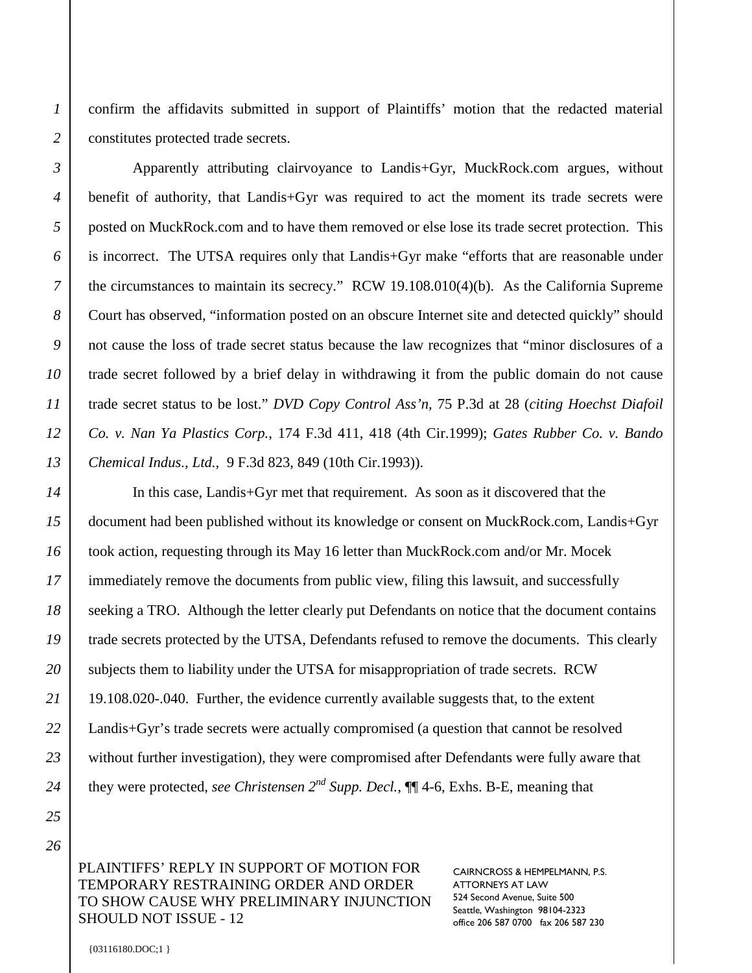*2*

confirm the affidavits submitted in support of Plaintiffs' motion that the redacted material constitutes protected trade secrets.

Apparently attributing clairvoyance to Landis+Gyr, MuckRock.com argues, without benefit of authority, that Landis+Gyr was required to act the moment its trade secrets were posted on MuckRock.com and to have them removed or else lose its trade secret protection. This is incorrect. The UTSA requires only that Landis+Gyr make "efforts that are reasonable under the circumstances to maintain its secrecy." RCW 19.108.010(4)(b). As the California Supreme Court has observed, "information posted on an obscure Internet site and detected quickly" should not cause the loss of trade secret status because the law recognizes that "minor disclosures of a trade secret followed by a brief delay in withdrawing it from the public domain do not cause trade secret status to be lost." *DVD Copy Control Ass'n,* 75 P.3d at 28 (*citing Hoechst Diafoil Co. v. Nan Ya Plastics Corp.*, 174 F.3d 411, 418 (4th Cir.1999); *Gates Rubber Co. v. Bando Chemical Indus., Ltd.,* 9 F.3d 823, 849 (10th Cir.1993)).

In this case, Landis+Gyr met that requirement. As soon as it discovered that the document had been published without its knowledge or consent on MuckRock.com, Landis+Gyr took action, requesting through its May 16 letter than MuckRock.com and/or Mr. Mocek immediately remove the documents from public view, filing this lawsuit, and successfully seeking a TRO. Although the letter clearly put Defendants on notice that the document contains trade secrets protected by the UTSA, Defendants refused to remove the documents. This clearly subjects them to liability under the UTSA for misappropriation of trade secrets. RCW 19.108.020-.040. Further, the evidence currently available suggests that, to the extent Landis+Gyr's trade secrets were actually compromised (a question that cannot be resolved without further investigation), they were compromised after Defendants were fully aware that they were protected, *see Christensen 2nd Supp. Decl.,* ¶¶ 4-6, Exhs. B-E, meaning that

PLAINTIFFS' REPLY IN SUPPORT OF MOTION FOR TEMPORARY RESTRAINING ORDER AND ORDER TO SHOW CAUSE WHY PRELIMINARY INJUNCTION SHOULD NOT ISSUE - 12

CAIRNCROSS & HEMPELMANN, P.S. ATTORNEYS AT LAW 524 Second Avenue, Suite 500 Seattle, Washington 98104-2323 office 206 587 0700 fax 206 587 230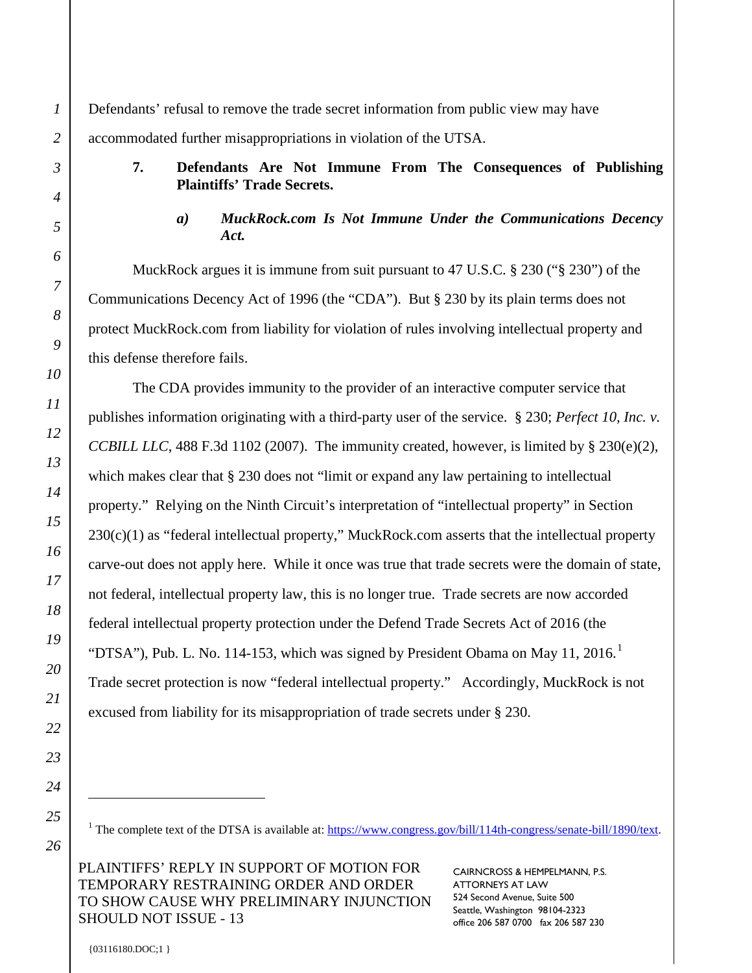Defendants' refusal to remove the trade secret information from public view may have accommodated further misappropriations in violation of the UTSA.

## **7. Defendants Are Not Immune From The Consequences of Publishing Plaintiffs' Trade Secrets.**

## *a) MuckRock.com Is Not Immune Under the Communications Decency Act.*

MuckRock argues it is immune from suit pursuant to 47 U.S.C. § 230 ("§ 230") of the Communications Decency Act of 1996 (the "CDA"). But § 230 by its plain terms does not protect MuckRock.com from liability for violation of rules involving intellectual property and this defense therefore fails.

The CDA provides immunity to the provider of an interactive computer service that publishes information originating with a third-party user of the service. § 230; *Perfect 10, Inc. v. CCBILL LLC*, 488 F.3d 1102 (2007). The immunity created, however, is limited by § 230(e)(2), which makes clear that  $\S 230$  does not "limit or expand any law pertaining to intellectual property." Relying on the Ninth Circuit's interpretation of "intellectual property" in Section  $230(c)(1)$  as "federal intellectual property," MuckRock.com asserts that the intellectual property carve-out does not apply here. While it once was true that trade secrets were the domain of state, not federal, intellectual property law, this is no longer true. Trade secrets are now accorded federal intellectual property protection under the Defend Trade Secrets Act of 2016 (the "DTSA"), Pub. L. No. [1](#page-12-0)14-153, which was signed by President Obama on May 11, 2016.<sup>1</sup> Trade secret protection is now "federal intellectual property." Accordingly, MuckRock is not excused from liability for its misappropriation of trade secrets under § 230.

*1*

*2*

<sup>1</sup> The complete text of the DTSA is available at: https://www.congress.gov/bill/114th-congress/senate-bill/1890/text.

<span id="page-12-0"></span>PLAINTIFFS' REPLY IN SUPPORT OF MOTION FOR TEMPORARY RESTRAINING ORDER AND ORDER TO SHOW CAUSE WHY PRELIMINARY INJUNCTION SHOULD NOT ISSUE - 13

CAIRNCROSS & HEMPELMANN, P.S. ATTORNEYS AT LAW 524 Second Avenue, Suite 500 Seattle, Washington 98104-2323 office 206 587 0700 fax 206 587 230

{03116180.DOC;1 }

 $\overline{a}$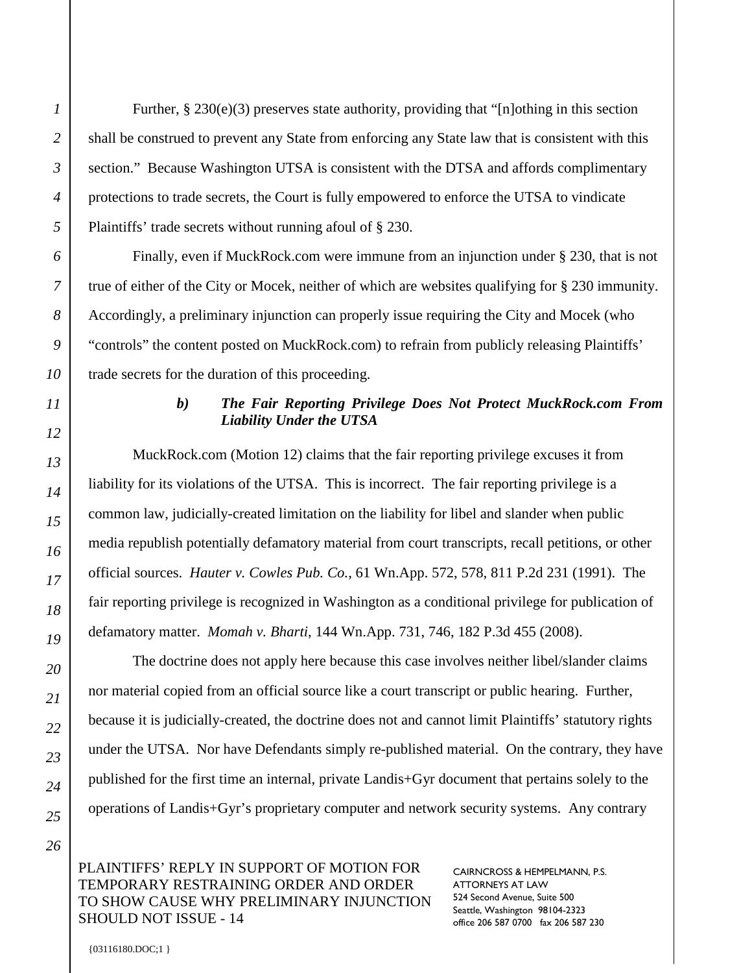Further,  $\S 230(e)(3)$  preserves state authority, providing that "[n]othing in this section shall be construed to prevent any State from enforcing any State law that is consistent with this section." Because Washington UTSA is consistent with the DTSA and affords complimentary protections to trade secrets, the Court is fully empowered to enforce the UTSA to vindicate Plaintiffs' trade secrets without running afoul of § 230.

Finally, even if MuckRock.com were immune from an injunction under § 230, that is not true of either of the City or Mocek, neither of which are websites qualifying for § 230 immunity. Accordingly, a preliminary injunction can properly issue requiring the City and Mocek (who "controls" the content posted on MuckRock.com) to refrain from publicly releasing Plaintiffs' trade secrets for the duration of this proceeding.

#### *b) The Fair Reporting Privilege Does Not Protect MuckRock.com From Liability Under the UTSA*

MuckRock.com (Motion 12) claims that the fair reporting privilege excuses it from liability for its violations of the UTSA. This is incorrect. The fair reporting privilege is a common law, judicially-created limitation on the liability for libel and slander when public media republish potentially defamatory material from court transcripts, recall petitions, or other official sources. *Hauter v. Cowles Pub. Co.*, 61 Wn.App. 572, 578, 811 P.2d 231 (1991). The fair reporting privilege is recognized in Washington as a conditional privilege for publication of defamatory matter. *Momah v. Bharti*, 144 Wn.App. 731, 746, 182 P.3d 455 (2008).

The doctrine does not apply here because this case involves neither libel/slander claims nor material copied from an official source like a court transcript or public hearing. Further, because it is judicially-created, the doctrine does not and cannot limit Plaintiffs' statutory rights under the UTSA. Nor have Defendants simply re-published material. On the contrary, they have published for the first time an internal, private Landis+Gyr document that pertains solely to the operations of Landis+Gyr's proprietary computer and network security systems. Any contrary

#### PLAINTIFFS' REPLY IN SUPPORT OF MOTION FOR TEMPORARY RESTRAINING ORDER AND ORDER TO SHOW CAUSE WHY PRELIMINARY INJUNCTION SHOULD NOT ISSUE - 14

CAIRNCROSS & HEMPELMANN, P.S. ATTORNEYS AT LAW 524 Second Avenue, Suite 500 Seattle, Washington 98104-2323 office 206 587 0700 fax 206 587 230

*1*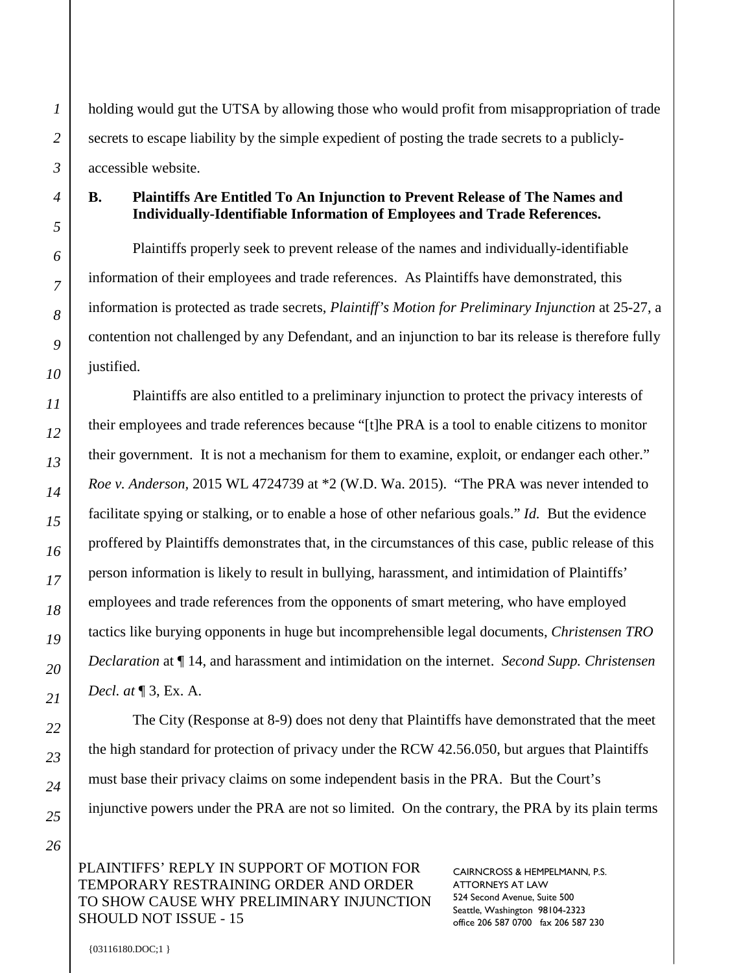holding would gut the UTSA by allowing those who would profit from misappropriation of trade secrets to escape liability by the simple expedient of posting the trade secrets to a publiclyaccessible website.

# **B. Plaintiffs Are Entitled To An Injunction to Prevent Release of The Names and Individually-Identifiable Information of Employees and Trade References.**

Plaintiffs properly seek to prevent release of the names and individually-identifiable information of their employees and trade references. As Plaintiffs have demonstrated, this information is protected as trade secrets, *Plaintiff's Motion for Preliminary Injunction* at 25-27, a contention not challenged by any Defendant, and an injunction to bar its release is therefore fully justified.

Plaintiffs are also entitled to a preliminary injunction to protect the privacy interests of their employees and trade references because "[t]he PRA is a tool to enable citizens to monitor their government. It is not a mechanism for them to examine, exploit, or endanger each other." *Roe v. Anderson,* 2015 WL 4724739 at \*2 (W.D. Wa. 2015). "The PRA was never intended to facilitate spying or stalking, or to enable a hose of other nefarious goals." *Id.* But the evidence proffered by Plaintiffs demonstrates that, in the circumstances of this case, public release of this person information is likely to result in bullying, harassment, and intimidation of Plaintiffs' employees and trade references from the opponents of smart metering, who have employed tactics like burying opponents in huge but incomprehensible legal documents, *Christensen TRO Declaration* at ¶ 14, and harassment and intimidation on the internet. *Second Supp. Christensen Decl. at* ¶ 3, Ex. A.

The City (Response at 8-9) does not deny that Plaintiffs have demonstrated that the meet the high standard for protection of privacy under the RCW 42.56.050, but argues that Plaintiffs must base their privacy claims on some independent basis in the PRA. But the Court's injunctive powers under the PRA are not so limited. On the contrary, the PRA by its plain terms

## PLAINTIFFS' REPLY IN SUPPORT OF MOTION FOR TEMPORARY RESTRAINING ORDER AND ORDER TO SHOW CAUSE WHY PRELIMINARY INJUNCTION SHOULD NOT ISSUE - 15

CAIRNCROSS & HEMPELMANN, P.S. ATTORNEYS AT LAW 524 Second Avenue, Suite 500 Seattle, Washington 98104-2323 office 206 587 0700 fax 206 587 230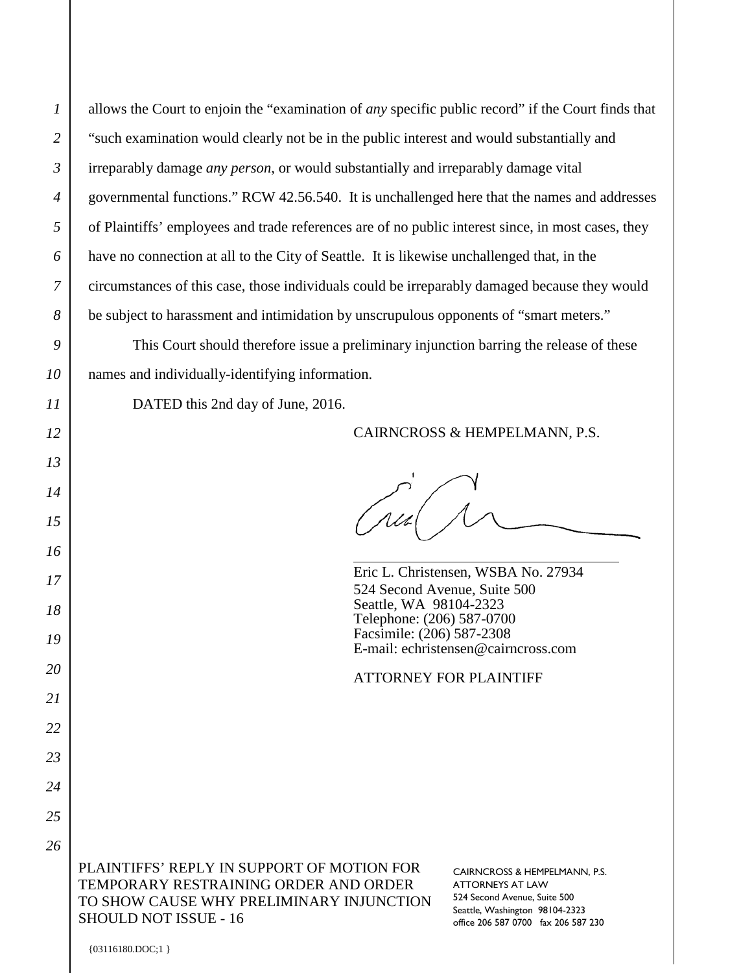*2*

allows the Court to enjoin the "examination of *any* specific public record" if the Court finds that "such examination would clearly not be in the public interest and would substantially and irreparably damage *any person*, or would substantially and irreparably damage vital governmental functions." RCW 42.56.540. It is unchallenged here that the names and addresses of Plaintiffs' employees and trade references are of no public interest since, in most cases, they have no connection at all to the City of Seattle. It is likewise unchallenged that, in the circumstances of this case, those individuals could be irreparably damaged because they would be subject to harassment and intimidation by unscrupulous opponents of "smart meters."

This Court should therefore issue a preliminary injunction barring the release of these names and individually-identifying information.

DATED this 2nd day of June, 2016.

#### CAIRNCROSS & HEMPELMANN, P.S.

Eric L. Christensen, WSBA No. 27934 524 Second Avenue, Suite 500 Seattle, WA 98104-2323 Telephone: (206) 587-0700 Facsimile: (206) 587-2308 E-mail: echristensen@cairncross.com

#### ATTORNEY FOR PLAINTIFF

PLAINTIFFS' REPLY IN SUPPORT OF MOTION FOR TEMPORARY RESTRAINING ORDER AND ORDER TO SHOW CAUSE WHY PRELIMINARY INJUNCTION SHOULD NOT ISSUE - 16

CAIRNCROSS & HEMPELMANN, P.S. ATTORNEYS AT LAW 524 Second Avenue, Suite 500 Seattle, Washington 98104-2323 office 206 587 0700 fax 206 587 230